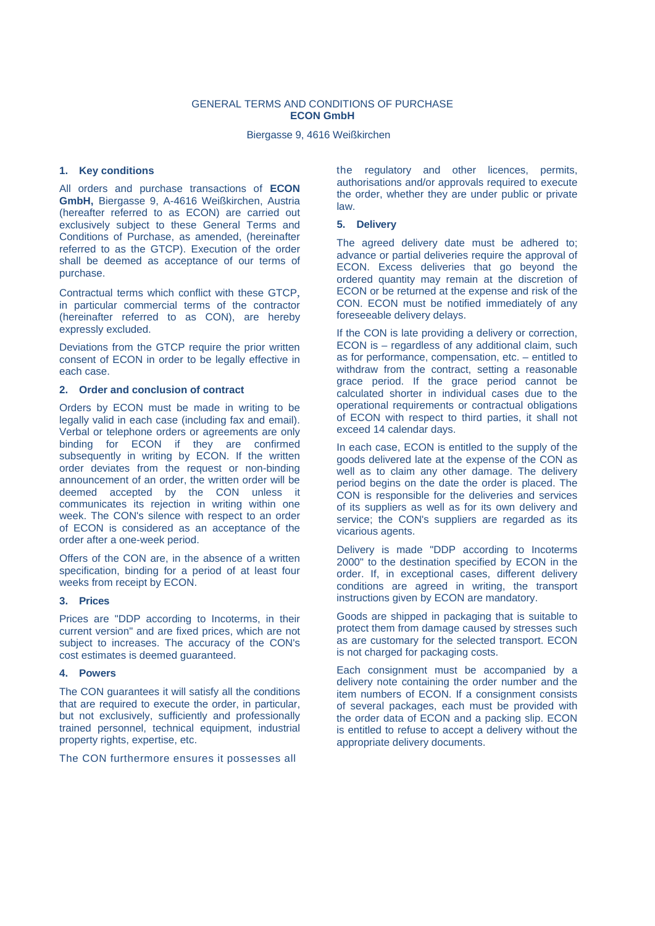## GENERAL TERMS AND CONDITIONS OF PURCHASE **ECON GmbH**

Biergasse 9, 4616 Weißkirchen

# **1. Key conditions**

All orders and purchase transactions of **ECON GmbH,** Biergasse 9, A-4616 Weißkirchen, Austria (hereafter referred to as ECON) are carried out exclusively subject to these General Terms and Conditions of Purchase, as amended, (hereinafter referred to as the GTCP). Execution of the order shall be deemed as acceptance of our terms of purchase.

Contractual terms which conflict with these GTCP, in particular commercial terms of the contractor (hereinafter referred to as CON), are hereby expressly excluded.

Deviations from the GTCP require the prior written consent of ECON in order to be legally effective in each case.

#### **2. Order and conclusion of contract**

Orders by ECON must be made in writing to be legally valid in each case (including fax and email). Verbal or telephone orders or agreements are only binding for ECON if they are confirmed subsequently in writing by ECON. If the written order deviates from the request or non-binding announcement of an order, the written order will be deemed accepted by the CON unless it communicates its rejection in writing within one week. The CON's silence with respect to an order of ECON is considered as an acceptance of the order after a one-week period.

Offers of the CON are, in the absence of a written specification, binding for a period of at least four weeks from receipt by ECON.

#### **3. Prices**

Prices are "DDP according to Incoterms, in their current version" and are fixed prices, which are not subject to increases. The accuracy of the CON's cost estimates is deemed guaranteed.

## **4. Powers**

The CON guarantees it will satisfy all the conditions that are required to execute the order, in particular, but not exclusively, sufficiently and professionally trained personnel, technical equipment, industrial property rights, expertise, etc.

The CON furthermore ensures it possesses all

the regulatory and other licences, permits, authorisations and/or approvals required to execute the order, whether they are under public or private law.

#### **5. Delivery**

The agreed delivery date must be adhered to; advance or partial deliveries require the approval of ECON. Excess deliveries that go beyond the ordered quantity may remain at the discretion of ECON or be returned at the expense and risk of the CON. ECON must be notified immediately of any foreseeable delivery delays.

If the CON is late providing a delivery or correction, ECON is – regardless of any additional claim, such as for performance, compensation, etc. – entitled to withdraw from the contract, setting a reasonable grace period. If the grace period cannot be calculated shorter in individual cases due to the operational requirements or contractual obligations of ECON with respect to third parties, it shall not exceed 14 calendar days.

In each case, ECON is entitled to the supply of the goods delivered late at the expense of the CON as well as to claim any other damage. The delivery period begins on the date the order is placed. The CON is responsible for the deliveries and services of its suppliers as well as for its own delivery and service; the CON's suppliers are regarded as its vicarious agents.

Delivery is made "DDP according to Incoterms 2000" to the destination specified by ECON in the order. If, in exceptional cases, different delivery conditions are agreed in writing, the transport instructions given by ECON are mandatory.

Goods are shipped in packaging that is suitable to protect them from damage caused by stresses such as are customary for the selected transport. ECON is not charged for packaging costs.

Each consignment must be accompanied by a delivery note containing the order number and the item numbers of ECON. If a consignment consists of several packages, each must be provided with the order data of ECON and a packing slip. ECON is entitled to refuse to accept a delivery without the appropriate delivery documents.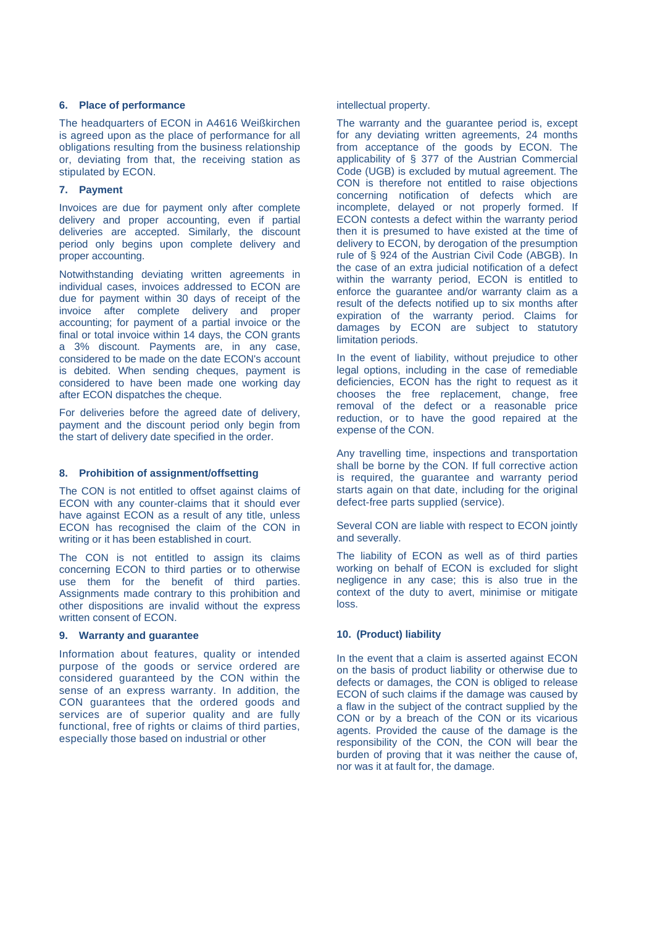#### **6. Place of performance**

The headquarters of ECON in A4616 Weißkirchen is agreed upon as the place of performance for all obligations resulting from the business relationship or, deviating from that, the receiving station as stipulated by ECON.

# **7. Payment**

Invoices are due for payment only after complete delivery and proper accounting, even if partial deliveries are accepted. Similarly, the discount period only begins upon complete delivery and proper accounting.

Notwithstanding deviating written agreements in individual cases, invoices addressed to ECON are due for payment within 30 days of receipt of the invoice after complete delivery and proper accounting; for payment of a partial invoice or the final or total invoice within 14 days, the CON grants a 3% discount. Payments are, in any case, considered to be made on the date ECON's account is debited. When sending cheques, payment is considered to have been made one working day after ECON dispatches the cheque.

For deliveries before the agreed date of delivery, payment and the discount period only begin from the start of delivery date specified in the order.

# **8. Prohibition of assignment/offsetting**

The CON is not entitled to offset against claims of ECON with any counter-claims that it should ever have against ECON as a result of any title, unless ECON has recognised the claim of the CON in writing or it has been established in court.

The CON is not entitled to assign its claims concerning ECON to third parties or to otherwise use them for the benefit of third parties. Assignments made contrary to this prohibition and other dispositions are invalid without the express written consent of ECON.

# **9. Warranty and guarantee**

Information about features, quality or intended purpose of the goods or service ordered are considered guaranteed by the CON within the sense of an express warranty. In addition, the CON guarantees that the ordered goods and services are of superior quality and are fully functional, free of rights or claims of third parties, especially those based on industrial or other

intellectual property.

The warranty and the guarantee period is, except for any deviating written agreements, 24 months from acceptance of the goods by ECON. The applicability of § 377 of the Austrian Commercial Code (UGB) is excluded by mutual agreement. The CON is therefore not entitled to raise objections concerning notification of defects which are incomplete, delayed or not properly formed. If ECON contests a defect within the warranty period then it is presumed to have existed at the time of delivery to ECON, by derogation of the presumption rule of § 924 of the Austrian Civil Code (ABGB). In the case of an extra judicial notification of a defect within the warranty period, ECON is entitled to enforce the guarantee and/or warranty claim as a result of the defects notified up to six months after expiration of the warranty period. Claims for damages by ECON are subject to statutory limitation periods.

In the event of liability, without prejudice to other legal options, including in the case of remediable deficiencies, ECON has the right to request as it chooses the free replacement, change, free removal of the defect or a reasonable price reduction, or to have the good repaired at the expense of the CON.

Any travelling time, inspections and transportation shall be borne by the CON. If full corrective action is required, the guarantee and warranty period starts again on that date, including for the original defect-free parts supplied (service).

Several CON are liable with respect to ECON jointly and severally.

The liability of ECON as well as of third parties working on behalf of ECON is excluded for slight negligence in any case; this is also true in the context of the duty to avert, minimise or mitigate loss.

# **10. (Product) liability**

In the event that a claim is asserted against ECON on the basis of product liability or otherwise due to defects or damages, the CON is obliged to release ECON of such claims if the damage was caused by a flaw in the subject of the contract supplied by the CON or by a breach of the CON or its vicarious agents. Provided the cause of the damage is the responsibility of the CON, the CON will bear the burden of proving that it was neither the cause of, nor was it at fault for, the damage.